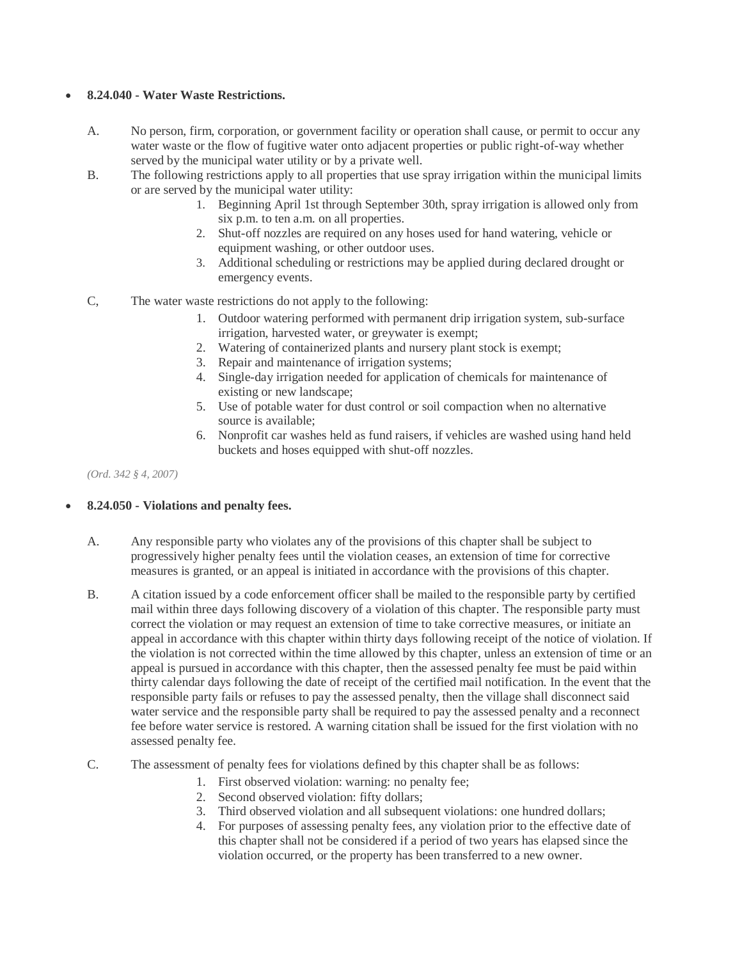## **8.24.040 - Water Waste Restrictions.**

- A. No person, firm, corporation, or government facility or operation shall cause, or permit to occur any water waste or the flow of fugitive water onto adjacent properties or public right-of-way whether served by the municipal water utility or by a private well.
- B. The following restrictions apply to all properties that use spray irrigation within the municipal limits or are served by the municipal water utility:
	- 1. Beginning April 1st through September 30th, spray irrigation is allowed only from six p.m. to ten a.m. on all properties.
	- 2. Shut-off nozzles are required on any hoses used for hand watering, vehicle or equipment washing, or other outdoor uses.
	- 3. Additional scheduling or restrictions may be applied during declared drought or emergency events.
- C, The water waste restrictions do not apply to the following:
	- 1. Outdoor watering performed with permanent drip irrigation system, sub-surface irrigation, harvested water, or greywater is exempt;
	- 2. Watering of containerized plants and nursery plant stock is exempt;
	- 3. Repair and maintenance of irrigation systems;
	- 4. Single-day irrigation needed for application of chemicals for maintenance of existing or new landscape;
	- 5. Use of potable water for dust control or soil compaction when no alternative source is available;
	- 6. Nonprofit car washes held as fund raisers, if vehicles are washed using hand held buckets and hoses equipped with shut-off nozzles.

*(Ord. 342 § 4, 2007)* 

## **8.24.050 - Violations and penalty fees.**

- A. Any responsible party who violates any of the provisions of this chapter shall be subject to progressively higher penalty fees until the violation ceases, an extension of time for corrective measures is granted, or an appeal is initiated in accordance with the provisions of this chapter.
- B. A citation issued by a code enforcement officer shall be mailed to the responsible party by certified mail within three days following discovery of a violation of this chapter. The responsible party must correct the violation or may request an extension of time to take corrective measures, or initiate an appeal in accordance with this chapter within thirty days following receipt of the notice of violation. If the violation is not corrected within the time allowed by this chapter, unless an extension of time or an appeal is pursued in accordance with this chapter, then the assessed penalty fee must be paid within thirty calendar days following the date of receipt of the certified mail notification. In the event that the responsible party fails or refuses to pay the assessed penalty, then the village shall disconnect said water service and the responsible party shall be required to pay the assessed penalty and a reconnect fee before water service is restored. A warning citation shall be issued for the first violation with no assessed penalty fee.
- C. The assessment of penalty fees for violations defined by this chapter shall be as follows:
	- 1. First observed violation: warning: no penalty fee;
	- 2. Second observed violation: fifty dollars;
	- 3. Third observed violation and all subsequent violations: one hundred dollars;
	- 4. For purposes of assessing penalty fees, any violation prior to the effective date of this chapter shall not be considered if a period of two years has elapsed since the violation occurred, or the property has been transferred to a new owner.